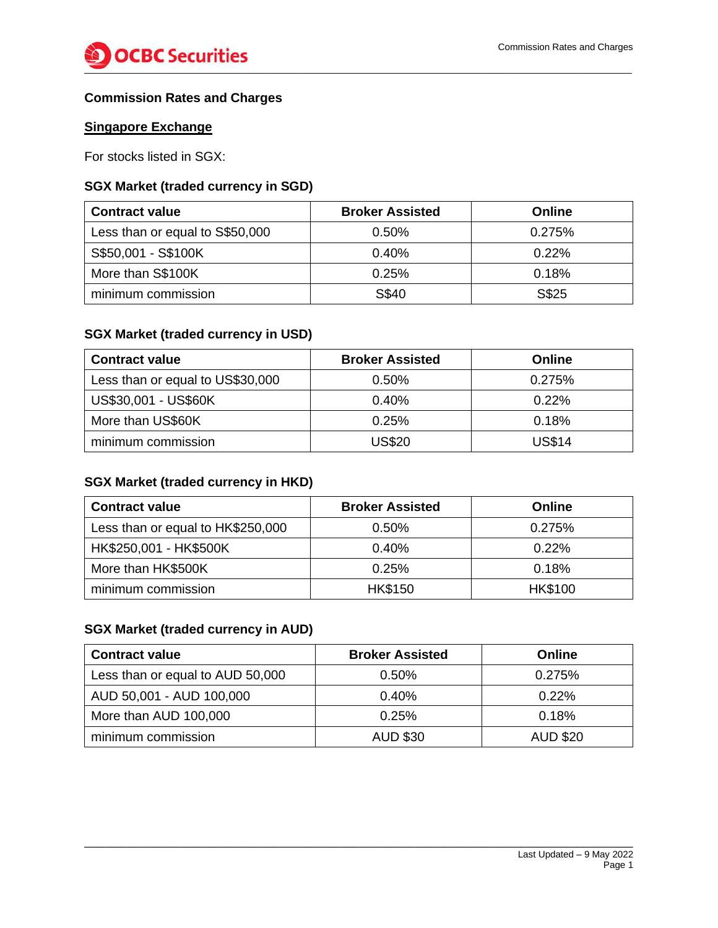

### **Commission Rates and Charges**

### **Singapore Exchange**

For stocks listed in SGX:

### **SGX Market (traded currency in SGD)**

| <b>Contract value</b>           | <b>Broker Assisted</b> | <b>Online</b> |
|---------------------------------|------------------------|---------------|
| Less than or equal to S\$50,000 | $0.50\%$               | 0.275%        |
| S\$50,001 - S\$100K             | $0.40\%$               | 0.22%         |
| More than S\$100K               | 0.25%                  | 0.18%         |
| minimum commission              | S\$40                  | S\$25         |

### **SGX Market (traded currency in USD)**

| <b>Contract value</b>            | <b>Broker Assisted</b> | <b>Online</b> |
|----------------------------------|------------------------|---------------|
| Less than or equal to US\$30,000 | $0.50\%$               | 0.275%        |
| US\$30,001 - US\$60K             | $0.40\%$               | $0.22\%$      |
| More than US\$60K                | 0.25%                  | 0.18%         |
| minimum commission               | <b>US\$20</b>          | <b>US\$14</b> |

# **SGX Market (traded currency in HKD)**

| <b>Contract value</b>             | <b>Broker Assisted</b> | <b>Online</b>  |
|-----------------------------------|------------------------|----------------|
| Less than or equal to HK\$250,000 | $0.50\%$               | 0.275%         |
| HK\$250,001 - HK\$500K            | $0.40\%$               | 0.22%          |
| More than HK\$500K                | 0.25%                  | 0.18%          |
| minimum commission                | <b>HK\$150</b>         | <b>HK\$100</b> |

### **SGX Market (traded currency in AUD)**

| <b>Contract value</b>            | <b>Broker Assisted</b> | Online          |
|----------------------------------|------------------------|-----------------|
| Less than or equal to AUD 50,000 | 0.50%                  | 0.275%          |
| AUD 50,001 - AUD 100,000         | 0.40%                  | 0.22%           |
| More than AUD 100,000            | 0.25%                  | 0.18%           |
| minimum commission               | <b>AUD \$30</b>        | <b>AUD \$20</b> |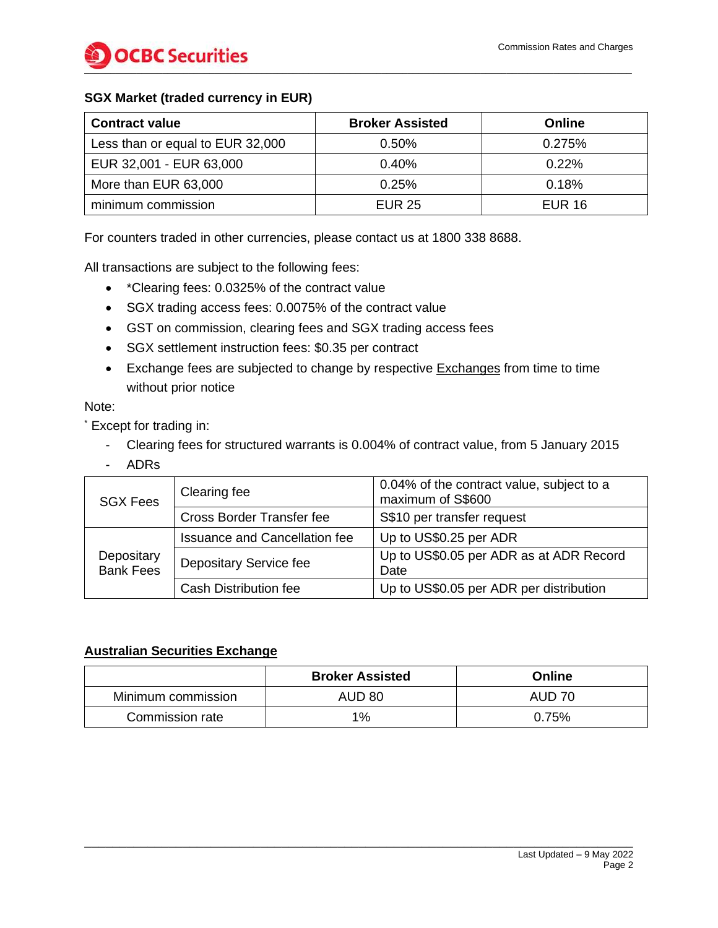

#### **SGX Market (traded currency in EUR)**

| <b>Contract value</b>            | <b>Broker Assisted</b> | Online        |
|----------------------------------|------------------------|---------------|
| Less than or equal to EUR 32,000 | $0.50\%$               | 0.275%        |
| EUR 32,001 - EUR 63,000          | 0.40%                  | 0.22%         |
| More than EUR 63,000             | 0.25%                  | 0.18%         |
| minimum commission               | <b>EUR 25</b>          | <b>EUR 16</b> |

For counters traded in other currencies, please contact us at 1800 338 8688.

All transactions are subject to the following fees:

- \*Clearing fees: 0.0325% of the contract value
- SGX trading access fees: 0.0075% of the contract value
- GST on commission, clearing fees and SGX trading access fees
- SGX settlement instruction fees: \$0.35 per contract
- Exchange fees are subjected to change by respective **Exchanges** from time to time without prior notice

Note:

\* Except for trading in:

- Clearing fees for structured warrants is 0.004% of contract value, from 5 January 2015
- ADRs

| <b>SGX Fees</b>                | Clearing fee                         | 0.04% of the contract value, subject to a<br>maximum of S\$600 |
|--------------------------------|--------------------------------------|----------------------------------------------------------------|
|                                | <b>Cross Border Transfer fee</b>     | S\$10 per transfer request                                     |
|                                | <b>Issuance and Cancellation fee</b> | Up to US\$0.25 per ADR                                         |
| Depositary<br><b>Bank Fees</b> | Depositary Service fee               | Up to US\$0.05 per ADR as at ADR Record<br>Date                |
|                                | <b>Cash Distribution fee</b>         | Up to US\$0.05 per ADR per distribution                        |

#### **Australian Securities Exchange**

|                    | <b>Broker Assisted</b> | Online |
|--------------------|------------------------|--------|
| Minimum commission | <b>AUD 80</b>          | AUD 70 |
| Commission rate    | 1%                     | 0.75%  |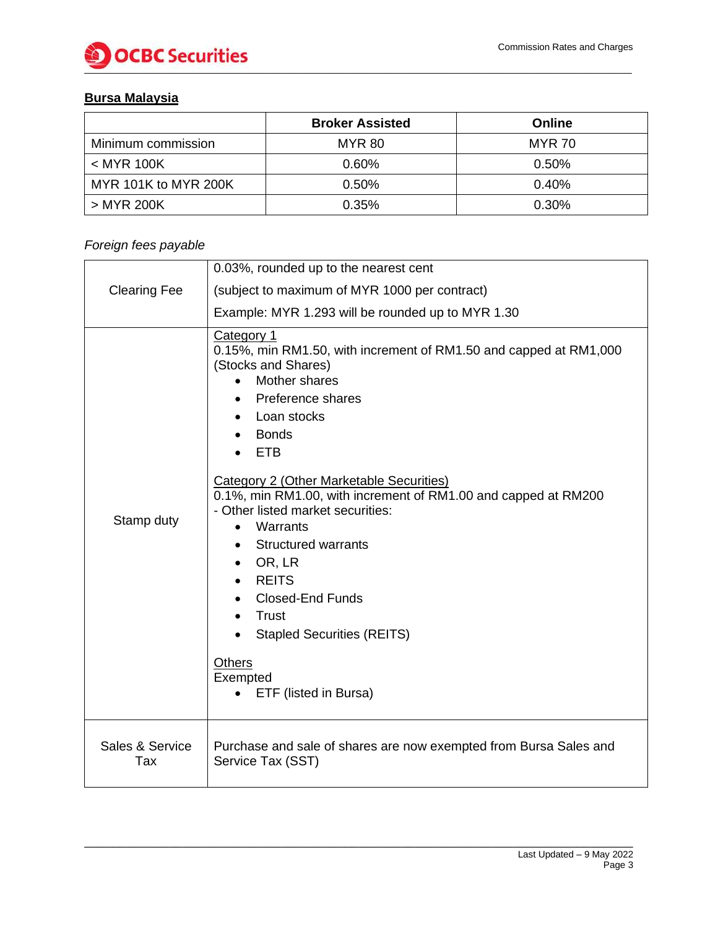

# **Bursa Malaysia**

|                      | <b>Broker Assisted</b> | Online        |
|----------------------|------------------------|---------------|
| Minimum commission   | MYR 80                 | <b>MYR 70</b> |
| $<$ MYR 100K         | 0.60%                  | 0.50%         |
| MYR 101K to MYR 200K | 0.50%                  | 0.40%         |
| > MYR 200K           | 0.35%                  | 0.30%         |

### *Foreign fees payable*

|                        | 0.03%, rounded up to the nearest cent                                                                                                                                                                                                                                                                                                                                                                                                                                                                                                                                                  |
|------------------------|----------------------------------------------------------------------------------------------------------------------------------------------------------------------------------------------------------------------------------------------------------------------------------------------------------------------------------------------------------------------------------------------------------------------------------------------------------------------------------------------------------------------------------------------------------------------------------------|
| <b>Clearing Fee</b>    | (subject to maximum of MYR 1000 per contract)                                                                                                                                                                                                                                                                                                                                                                                                                                                                                                                                          |
|                        | Example: MYR 1.293 will be rounded up to MYR 1.30                                                                                                                                                                                                                                                                                                                                                                                                                                                                                                                                      |
| Stamp duty             | Category 1<br>0.15%, min RM1.50, with increment of RM1.50 and capped at RM1,000<br>(Stocks and Shares)<br>Mother shares<br>Preference shares<br>Loan stocks<br><b>Bonds</b><br><b>ETB</b><br>Category 2 (Other Marketable Securities)<br>0.1%, min RM1.00, with increment of RM1.00 and capped at RM200<br>- Other listed market securities:<br>Warrants<br>$\bullet$<br><b>Structured warrants</b><br>$\bullet$<br>OR, LR<br><b>REITS</b><br><b>Closed-End Funds</b><br>Trust<br>$\bullet$<br><b>Stapled Securities (REITS)</b><br><b>Others</b><br>Exempted<br>ETF (listed in Bursa) |
| Sales & Service<br>Tax | Purchase and sale of shares are now exempted from Bursa Sales and<br>Service Tax (SST)                                                                                                                                                                                                                                                                                                                                                                                                                                                                                                 |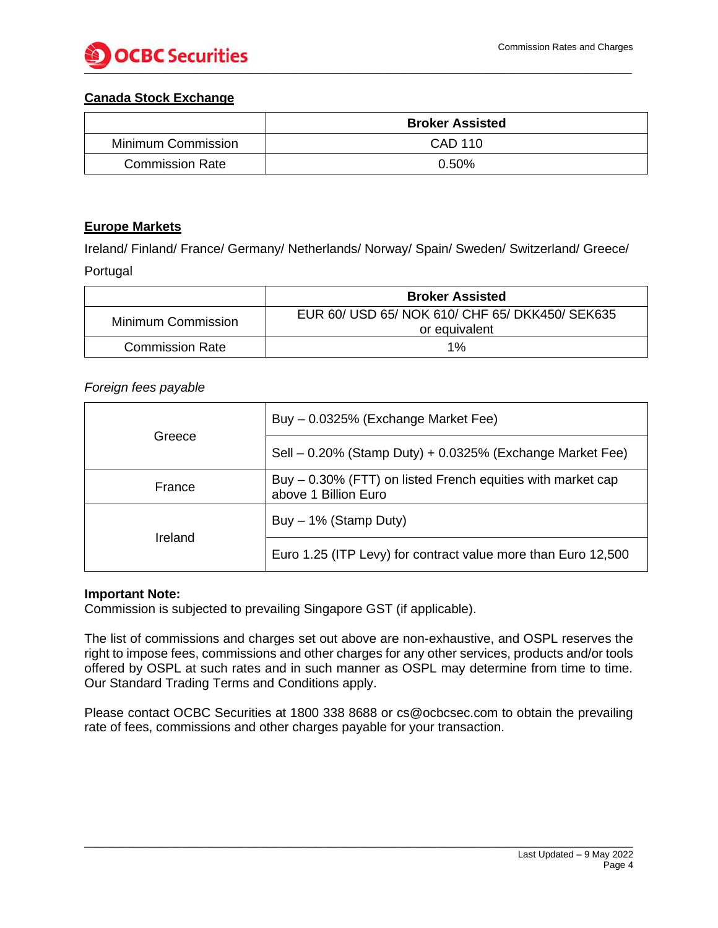

#### **Canada Stock Exchange**

|                        | <b>Broker Assisted</b> |
|------------------------|------------------------|
| Minimum Commission     | CAD 110                |
| <b>Commission Rate</b> | 0.50%                  |

#### **Europe Markets**

Ireland/ Finland/ France/ Germany/ Netherlands/ Norway/ Spain/ Sweden/ Switzerland/ Greece/ Portugal

|                        | <b>Broker Assisted</b>                                           |
|------------------------|------------------------------------------------------------------|
| Minimum Commission     | EUR 60/ USD 65/ NOK 610/ CHF 65/ DKK450/ SEK635<br>or equivalent |
| <b>Commission Rate</b> | $1\%$                                                            |

#### *Foreign fees payable*

| Greece         | Buy - 0.0325% (Exchange Market Fee)                                                 |
|----------------|-------------------------------------------------------------------------------------|
|                | Sell - 0.20% (Stamp Duty) + 0.0325% (Exchange Market Fee)                           |
| France         | Buy – 0.30% (FTT) on listed French equities with market cap<br>above 1 Billion Euro |
| <b>Ireland</b> | Buy $-1\%$ (Stamp Duty)                                                             |
|                | Euro 1.25 (ITP Levy) for contract value more than Euro 12,500                       |

#### **Important Note:**

Commission is subjected to prevailing Singapore GST (if applicable).

The list of commissions and charges set out above are non-exhaustive, and OSPL reserves the right to impose fees, commissions and other charges for any other services, products and/or tools offered by OSPL at such rates and in such manner as OSPL may determine from time to time. Our Standard Trading Terms and Conditions apply.

Please contact OCBC Securities at 1800 338 8688 or cs@ocbcsec.com to obtain the prevailing rate of fees, commissions and other charges payable for your transaction.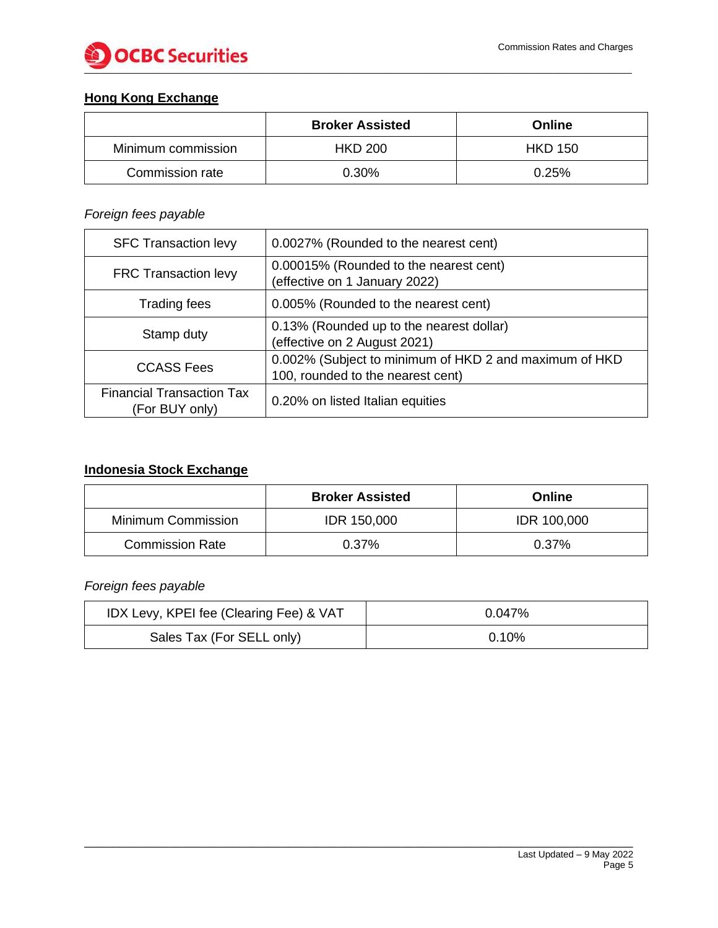

# **Hong Kong Exchange**

|                    | <b>Broker Assisted</b> | Online         |
|--------------------|------------------------|----------------|
| Minimum commission | <b>HKD 200</b>         | <b>HKD 150</b> |
| Commission rate    | 0.30%                  | 0.25%          |

### *Foreign fees payable*

| <b>SFC Transaction levy</b>                        | 0.0027% (Rounded to the nearest cent)                                                       |
|----------------------------------------------------|---------------------------------------------------------------------------------------------|
| <b>FRC Transaction levy</b>                        | 0.00015% (Rounded to the nearest cent)<br>(effective on 1 January 2022)                     |
| Trading fees                                       | 0.005% (Rounded to the nearest cent)                                                        |
| Stamp duty                                         | 0.13% (Rounded up to the nearest dollar)<br>(effective on 2 August 2021)                    |
| <b>CCASS Fees</b>                                  | 0.002% (Subject to minimum of HKD 2 and maximum of HKD<br>100, rounded to the nearest cent) |
| <b>Financial Transaction Tax</b><br>(For BUY only) | 0.20% on listed Italian equities                                                            |

### **Indonesia Stock Exchange**

|                           | <b>Broker Assisted</b> | <b>Online</b>      |
|---------------------------|------------------------|--------------------|
| <b>Minimum Commission</b> | <b>IDR 150,000</b>     | <b>IDR 100,000</b> |
| <b>Commission Rate</b>    | $0.37\%$               | 0.37%              |

### *Foreign fees payable*

| IDX Levy, KPEI fee (Clearing Fee) & VAT | 0.047%   |
|-----------------------------------------|----------|
| Sales Tax (For SELL only)               | $0.10\%$ |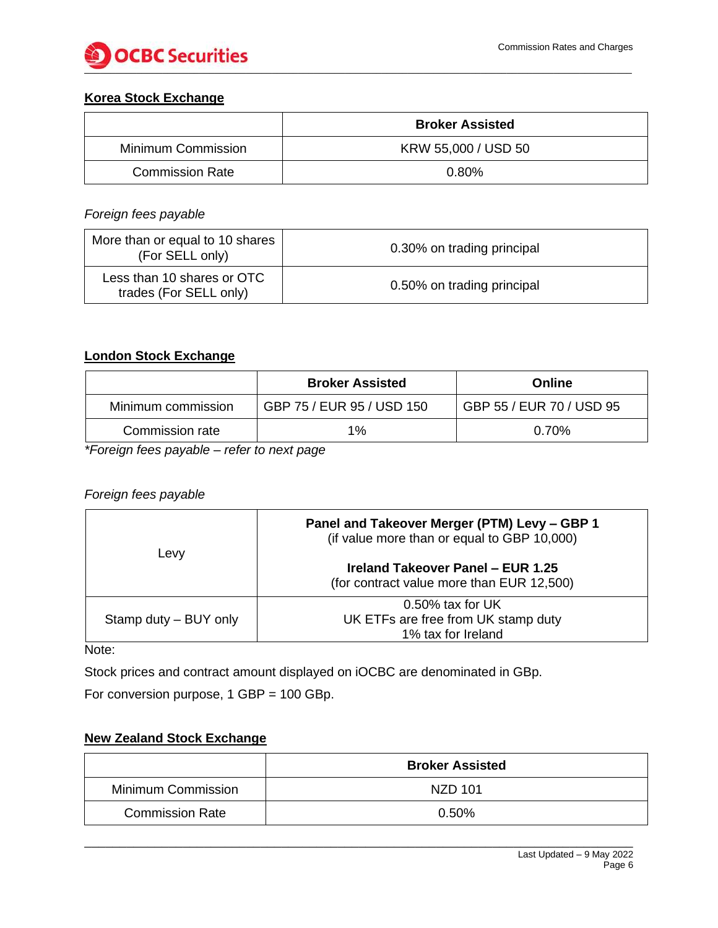

### **Korea Stock Exchange**

|                        | <b>Broker Assisted</b> |
|------------------------|------------------------|
| Minimum Commission     | KRW 55,000 / USD 50    |
| <b>Commission Rate</b> | 0.80%                  |

#### *Foreign fees payable*

| More than or equal to 10 shares<br>(For SELL only)   | 0.30% on trading principal |
|------------------------------------------------------|----------------------------|
| Less than 10 shares or OTC<br>trades (For SELL only) | 0.50% on trading principal |

### **London Stock Exchange**

|                    | <b>Broker Assisted</b>    | Online                   |
|--------------------|---------------------------|--------------------------|
| Minimum commission | GBP 75 / EUR 95 / USD 150 | GBP 55 / EUR 70 / USD 95 |
| Commission rate    | 1%                        | $0.70\%$                 |

*\*Foreign fees payable – refer to next page*

#### *Foreign fees payable*

| Levy                  | Panel and Takeover Merger (PTM) Levy - GBP 1<br>(if value more than or equal to GBP 10,000) |  |
|-----------------------|---------------------------------------------------------------------------------------------|--|
|                       | Ireland Takeover Panel - EUR 1.25<br>(for contract value more than EUR 12,500)              |  |
| Stamp duty – BUY only | $0.50\%$ tax for UK<br>UK ETFs are free from UK stamp duty<br>1% tax for Ireland            |  |

Note:

Stock prices and contract amount displayed on iOCBC are denominated in GBp.

For conversion purpose, 1 GBP = 100 GBp.

# **New Zealand Stock Exchange**

|                        | <b>Broker Assisted</b> |
|------------------------|------------------------|
| Minimum Commission     | NZD 101                |
| <b>Commission Rate</b> | $0.50\%$               |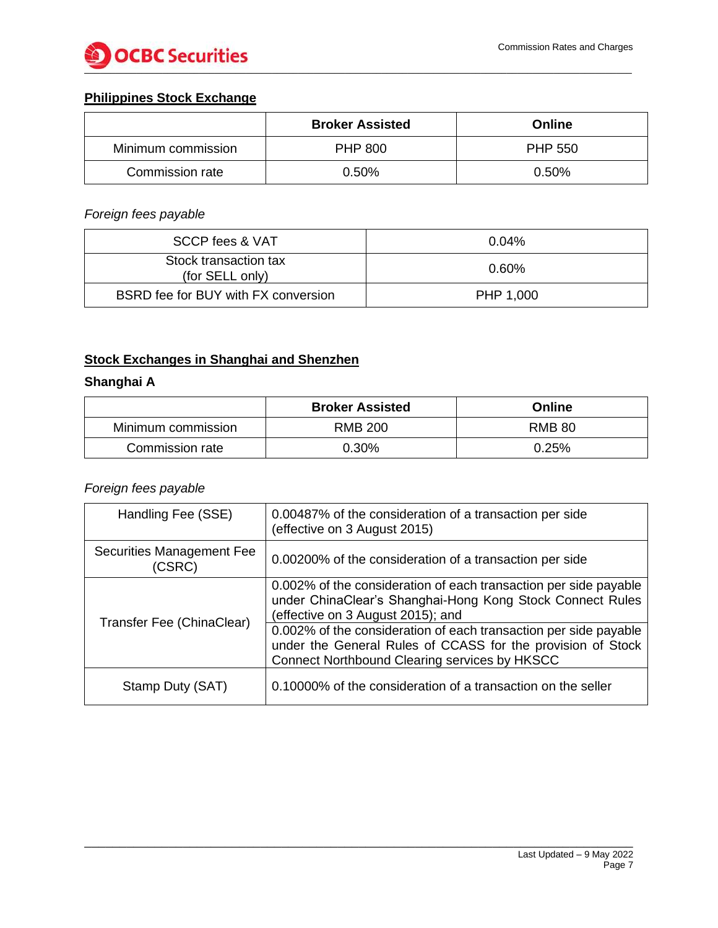

# **Philippines Stock Exchange**

|                    | <b>Broker Assisted</b> | Online         |
|--------------------|------------------------|----------------|
| Minimum commission | <b>PHP 800</b>         | <b>PHP 550</b> |
| Commission rate    | $0.50\%$               | 0.50%          |

# *Foreign fees payable*

| SCCP fees & VAT                          | $0.04\%$  |
|------------------------------------------|-----------|
| Stock transaction tax<br>(for SELL only) | $0.60\%$  |
| BSRD fee for BUY with FX conversion      | PHP 1,000 |

# **Stock Exchanges in Shanghai and Shenzhen**

### **Shanghai A**

|                    | <b>Broker Assisted</b> | <b>Online</b> |
|--------------------|------------------------|---------------|
| Minimum commission | <b>RMB 200</b>         | <b>RMB 80</b> |
| Commission rate    | 0.30%                  | 0.25%         |

### *Foreign fees payable*

| Handling Fee (SSE)                  | 0.00487% of the consideration of a transaction per side<br>(effective on 3 August 2015)                                                                                          |
|-------------------------------------|----------------------------------------------------------------------------------------------------------------------------------------------------------------------------------|
| Securities Management Fee<br>(CSRC) | 0.00200% of the consideration of a transaction per side                                                                                                                          |
|                                     | 0.002% of the consideration of each transaction per side payable<br>under ChinaClear's Shanghai-Hong Kong Stock Connect Rules<br>(effective on 3 August 2015); and               |
| Transfer Fee (ChinaClear)           | 0.002% of the consideration of each transaction per side payable<br>under the General Rules of CCASS for the provision of Stock<br>Connect Northbound Clearing services by HKSCC |
| Stamp Duty (SAT)                    | 0.10000% of the consideration of a transaction on the seller                                                                                                                     |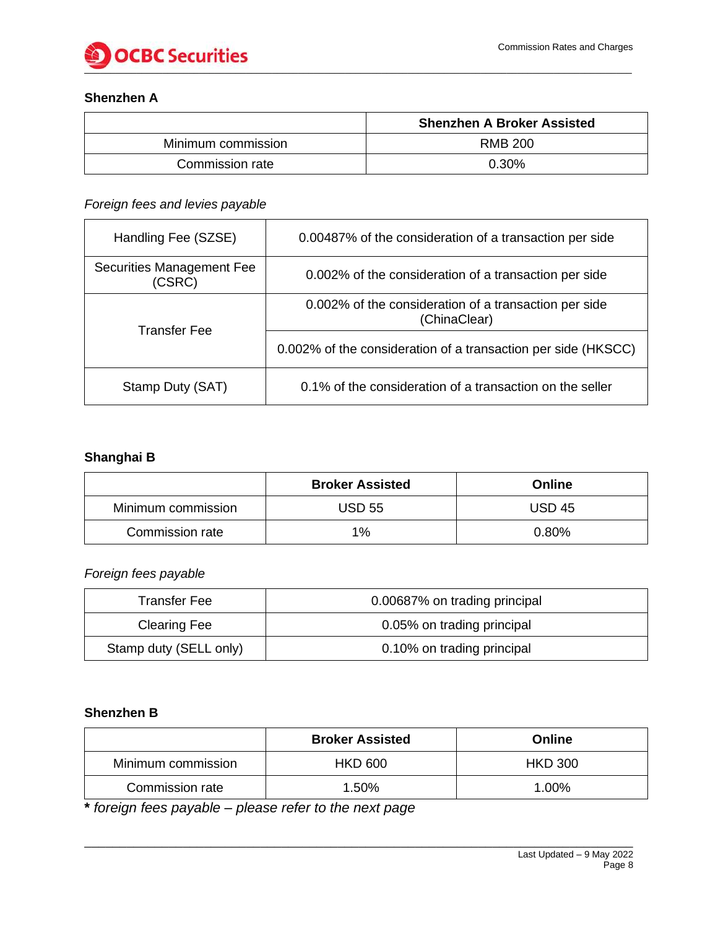

### **Shenzhen A**

|                    | <b>Shenzhen A Broker Assisted</b> |
|--------------------|-----------------------------------|
| Minimum commission | <b>RMB 200</b>                    |
| Commission rate    | 0.30%                             |

### *Foreign fees and levies payable*

| Handling Fee (SZSE)                 | 0.00487% of the consideration of a transaction per side               |  |
|-------------------------------------|-----------------------------------------------------------------------|--|
| Securities Management Fee<br>(CSRC) | 0.002% of the consideration of a transaction per side                 |  |
| <b>Transfer Fee</b>                 | 0.002% of the consideration of a transaction per side<br>(ChinaClear) |  |
|                                     | 0.002% of the consideration of a transaction per side (HKSCC)         |  |
| Stamp Duty (SAT)                    | 0.1% of the consideration of a transaction on the seller              |  |

# **Shanghai B**

|                    | <b>Broker Assisted</b> | Online        |
|--------------------|------------------------|---------------|
| Minimum commission | <b>USD 55</b>          | <b>USD 45</b> |
| Commission rate    | 1%                     | 0.80%         |

*Foreign fees payable*

| <b>Transfer Fee</b>    | 0.00687% on trading principal |  |
|------------------------|-------------------------------|--|
| <b>Clearing Fee</b>    | 0.05% on trading principal    |  |
| Stamp duty (SELL only) | 0.10% on trading principal    |  |

#### **Shenzhen B**

|                    | <b>Broker Assisted</b> | Online         |
|--------------------|------------------------|----------------|
| Minimum commission | <b>HKD 600</b>         | <b>HKD 300</b> |
| Commission rate    | 1.50%                  | 1.00%          |

**\*** *foreign fees payable – please refer to the next page*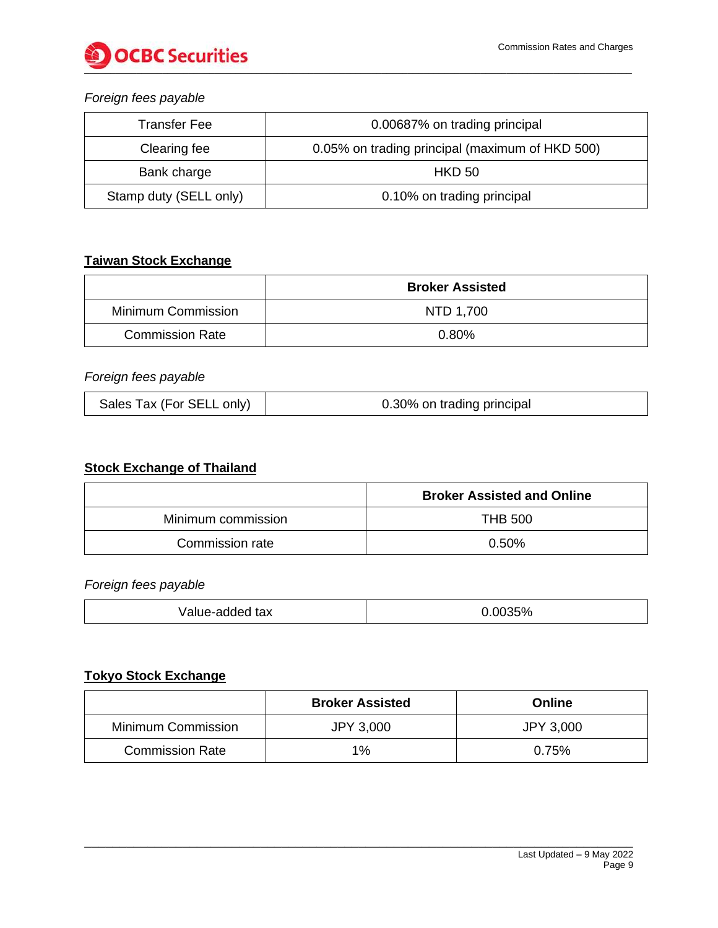

### *Foreign fees payable*

| <b>Transfer Fee</b>    | 0.00687% on trading principal                   |  |
|------------------------|-------------------------------------------------|--|
| Clearing fee           | 0.05% on trading principal (maximum of HKD 500) |  |
| Bank charge            | <b>HKD 50</b>                                   |  |
| Stamp duty (SELL only) | 0.10% on trading principal                      |  |

### **Taiwan Stock Exchange**

|                        | <b>Broker Assisted</b> |  |
|------------------------|------------------------|--|
| Minimum Commission     | NTD 1,700              |  |
| <b>Commission Rate</b> | 0.80%                  |  |

# *Foreign fees payable*

| Sales Tax (For SELL only)<br>0.30% on trading principal |
|---------------------------------------------------------|
|---------------------------------------------------------|

# **Stock Exchange of Thailand**

|                    | <b>Broker Assisted and Online</b> |
|--------------------|-----------------------------------|
| Minimum commission | <b>THB 500</b>                    |
| Commission rate    | 0.50%                             |

#### *Foreign fees payable*

| tax<br>Value-added | 0.0035% |
|--------------------|---------|
|--------------------|---------|

# **Tokyo Stock Exchange**

|                        | <b>Broker Assisted</b> | Online    |
|------------------------|------------------------|-----------|
| Minimum Commission     | <b>JPY 3,000</b>       | JPY 3,000 |
| <b>Commission Rate</b> | 1%                     | 0.75%     |